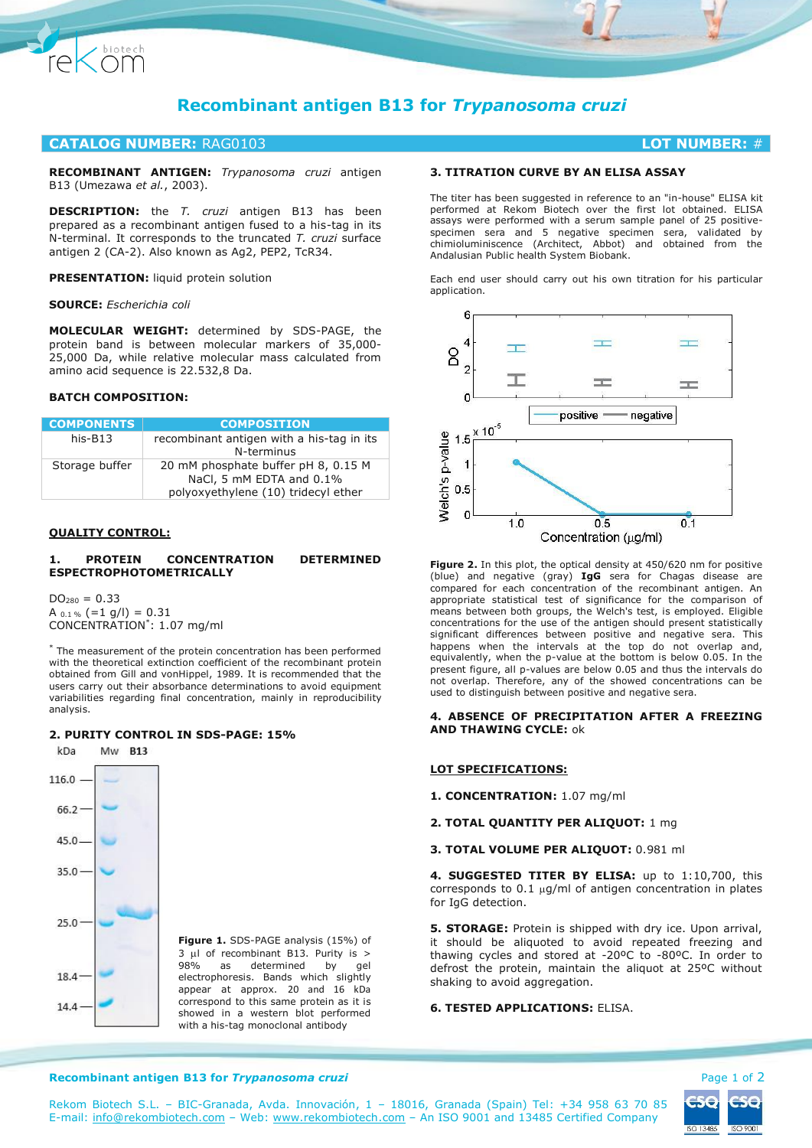

# **Recombinant antigen B13 for** *Trypanosoma cruzi*

# **CATALOG NUMBER:** RAG0103 **LOT NUMBER:** #

**RECOMBINANT ANTIGEN:** *Trypanosoma cruzi* antigen B13 (Umezawa *et al.*, 2003).

**DESCRIPTION:** the *T. cruzi* antigen B13 has been prepared as a recombinant antigen fused to a his-tag in its N-terminal. It corresponds to the truncated *T. cruzi* surface antigen 2 (CA-2). Also known as Ag2, PEP2, TcR34.

## **PRESENTATION:** liquid protein solution

**SOURCE:** *Escherichia coli*

**MOLECULAR WEIGHT:** determined by SDS-PAGE, the protein band is between molecular markers of 35,000- 25,000 Da, while relative molecular mass calculated from amino acid sequence is 22.532,8 Da.

# **BATCH COMPOSITION:**

| <b>COMPONENTS</b> | <b>COMPOSITION</b>                                                                                     |
|-------------------|--------------------------------------------------------------------------------------------------------|
| $his-B13$         | recombinant antigen with a his-tag in its<br>N-terminus                                                |
| Storage buffer    | 20 mM phosphate buffer pH 8, 0.15 M<br>NaCl, 5 mM EDTA and 0.1%<br>polyoxyethylene (10) tridecyl ether |

# **QUALITY CONTROL:**

# **1. PROTEIN CONCENTRATION DETERMINED ESPECTROPHOTOMETRICALLY**

 $DO<sub>280</sub> = 0.33$ A  $_{0.1\%}$  (=1 g/l) = 0.31 CONCENTRATION\* : 1.07 mg/ml

\* The measurement of the protein concentration has been performed with the theoretical extinction coefficient of the recombinant protein obtained from Gill and vonHippel, 1989. It is recommended that the users carry out their absorbance determinations to avoid equipment variabilities regarding final concentration, mainly in reproducibility analysis.

# **2. PURITY CONTROL IN SDS-PAGE: 15%**



**Figure 1.** SDS-PAGE analysis (15%) of 3 µl of recombinant B13. Purity is > 98% as determined by gel determined electrophoresis. Bands which slightly appear at approx. 20 and 16 kDa correspond to this same protein as it is showed in a western blot performed with a his-tag monoclonal antibody

# **3. TITRATION CURVE BY AN ELISA ASSAY**

The titer has been suggested in reference to an "in-house" ELISA kit performed at Rekom Biotech over the first lot obtained. ELISA assays were performed with a serum sample panel of 25 positivespecimen sera and 5 negative specimen sera, validated by chimioluminiscence (Architect, Abbot) and obtained from the Andalusian Public health System Biobank.

Each end user should carry out his own titration for his particular application.



**Figure 2.** In this plot, the optical density at 450/620 nm for positive (blue) and negative (gray) **IgG** sera for Chagas disease are compared for each concentration of the recombinant antigen. An appropriate statistical test of significance for the comparison of means between both groups, the Welch's test, is employed. Eligible concentrations for the use of the antigen should present statistically significant differences between positive and negative sera. This happens when the intervals at the top do not overlap and, equivalently, when the p-value at the bottom is below 0.05. In the present figure, all p-values are below 0.05 and thus the intervals do not overlap. Therefore, any of the showed concentrations can be used to distinguish between positive and negative sera.

# **4. ABSENCE OF PRECIPITATION AFTER A FREEZING AND THAWING CYCLE:** ok

# **LOT SPECIFICATIONS:**

**1. CONCENTRATION:** 1.07 mg/ml

**2. TOTAL QUANTITY PER ALIQUOT:** 1 mg

**3. TOTAL VOLUME PER ALIQUOT:** 0.981 ml

**4. SUGGESTED TITER BY ELISA:** up to 1:10,700, this corresponds to 0.1  $\mu$ g/ml of antigen concentration in plates for IgG detection.

**5. STORAGE:** Protein is shipped with dry ice. Upon arrival, it should be aliquoted to avoid repeated freezing and thawing cycles and stored at -20ºC to -80ºC. In order to defrost the protein, maintain the aliquot at 25ºC without shaking to avoid aggregation.

# **6. TESTED APPLICATIONS: FLISA.**



**Recombinant antigen B13 for** *Trypanosoma cruzi* **Page 1 of 2 and 2 and 2 and 2 and 2 and 2 and 2 and 2 and 2 and 2 and 2 and 2 and 2 and 2 and 2 and 2 and 2 and 2 and 2 and 2 and 2 and 2 and 2 and 2 and 2 and 2 and 2 and 2**